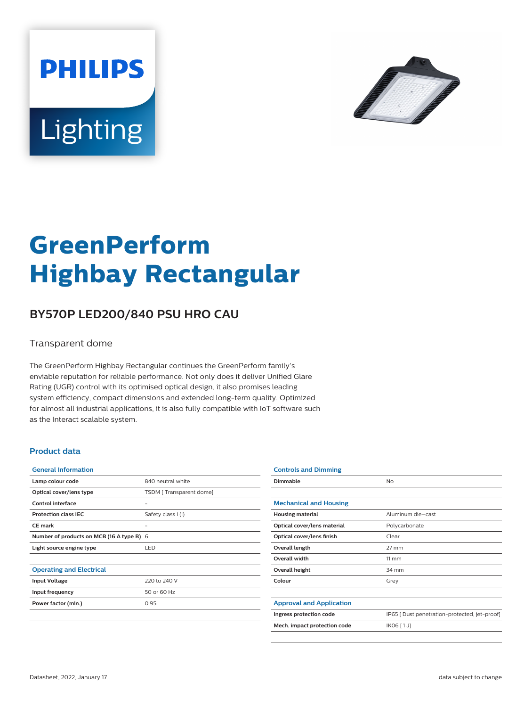



# **GreenPerform Highbay Rectangular**

## **BY570P LED200/840 PSU HRO CAU**

#### Transparent dome

The GreenPerform Highbay Rectangular continues the GreenPerform family's enviable reputation for reliable performance. Not only does it deliver Unified Glare Rating (UGR) control with its optimised optical design, it also promises leading system efficiency, compact dimensions and extended long-term quality. Optimized for almost all industrial applications, it is also fully compatible with IoT software such as the Interact scalable system.

#### **Product data**

| <b>General Information</b>                |                         |
|-------------------------------------------|-------------------------|
| Lamp colour code                          | 840 neutral white       |
| Optical cover/lens type                   | TSDM [Transparent dome] |
| Control interface                         |                         |
| <b>Protection class IEC</b>               | Safety class I (I)      |
| CF mark                                   |                         |
| Number of products on MCB (16 A type B) 6 |                         |
| Light source engine type                  | <b>LED</b>              |
|                                           |                         |
| <b>Operating and Electrical</b>           |                         |
| <b>Input Voltage</b>                      | 220 to 240 V            |
| Input frequency                           | 50 or 60 Hz             |
| Power factor (min.)                       | 0.95                    |
|                                           |                         |

| <b>Controls and Dimming</b>     |                                               |
|---------------------------------|-----------------------------------------------|
| Dimmable                        | No                                            |
|                                 |                                               |
| <b>Mechanical and Housing</b>   |                                               |
| <b>Housing material</b>         | Aluminum die-cast                             |
| Optical cover/lens material     | Polycarbonate                                 |
| Optical cover/lens finish       | Clear                                         |
| Overall length                  | $27$ mm                                       |
| <b>Overall width</b>            | $11 \, \mathrm{mm}$                           |
| Overall height                  | 34 mm                                         |
| Colour                          | Grey                                          |
|                                 |                                               |
| <b>Approval and Application</b> |                                               |
| Ingress protection code         | IP65 [ Dust penetration-protected, jet-proof] |
| Mech. impact protection code    | IK06 [1J]                                     |
|                                 |                                               |